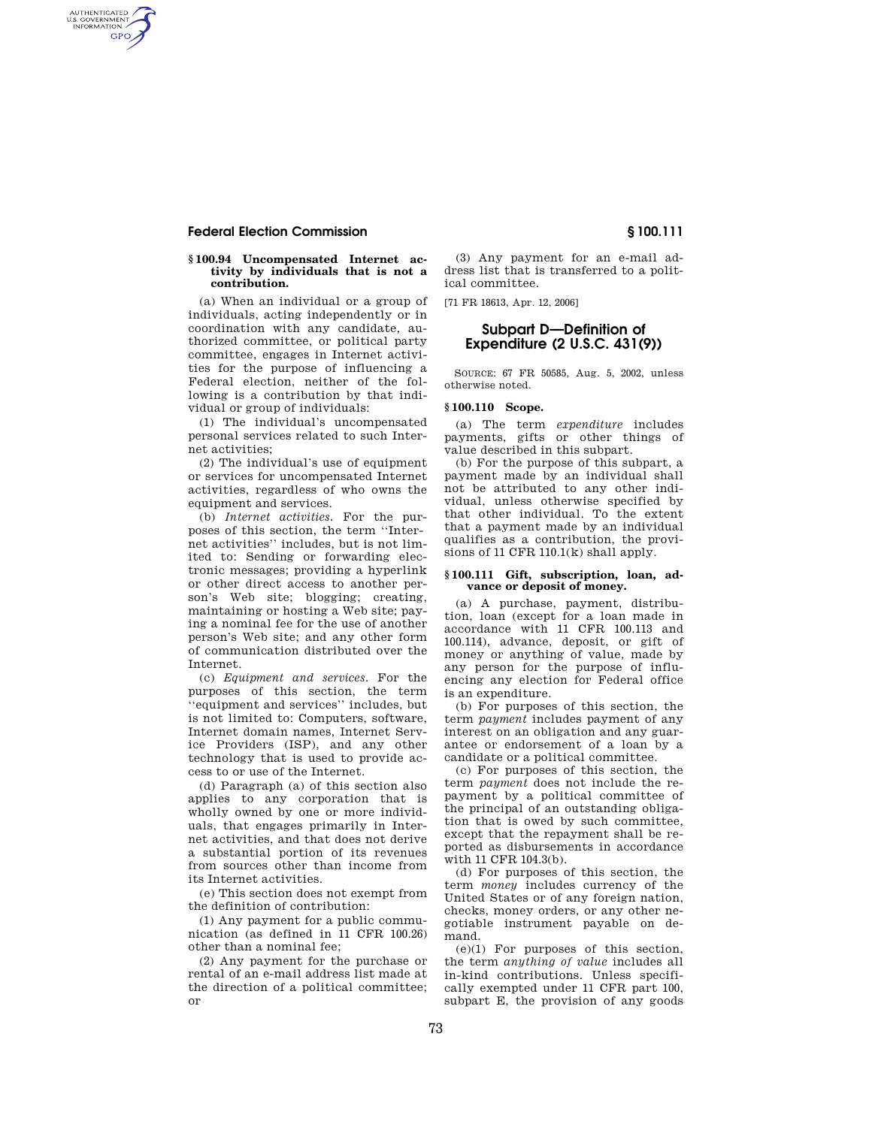## **Federal Election Commission § 100.111**

AUTHENTICATED<br>U.S. GOVERNMENT<br>INFORMATION GPO

#### **§ 100.94 Uncompensated Internet activity by individuals that is not a contribution.**

(a) When an individual or a group of individuals, acting independently or in coordination with any candidate, authorized committee, or political party committee, engages in Internet activities for the purpose of influencing a Federal election, neither of the following is a contribution by that individual or group of individuals:

(1) The individual's uncompensated personal services related to such Internet activities;

(2) The individual's use of equipment or services for uncompensated Internet activities, regardless of who owns the equipment and services.

(b) *Internet activities.* For the purposes of this section, the term ''Internet activities'' includes, but is not limited to: Sending or forwarding electronic messages; providing a hyperlink or other direct access to another person's Web site; blogging; creating, maintaining or hosting a Web site; paying a nominal fee for the use of another person's Web site; and any other form of communication distributed over the Internet.

(c) *Equipment and services.* For the purposes of this section, the term ''equipment and services'' includes, but is not limited to: Computers, software, Internet domain names, Internet Service Providers (ISP), and any other technology that is used to provide access to or use of the Internet.

(d) Paragraph (a) of this section also applies to any corporation that is wholly owned by one or more individuals, that engages primarily in Internet activities, and that does not derive a substantial portion of its revenues from sources other than income from its Internet activities.

(e) This section does not exempt from the definition of contribution:

(1) Any payment for a public communication (as defined in 11 CFR 100.26) other than a nominal fee;

(2) Any payment for the purchase or rental of an e-mail address list made at the direction of a political committee; or

(3) Any payment for an e-mail address list that is transferred to a political committee.

[71 FR 18613, Apr. 12, 2006]

# **Subpart D—Definition of Expenditure (2 U.S.C. 431(9))**

SOURCE: 67 FR 50585, Aug. 5, 2002, unless otherwise noted.

# **§ 100.110 Scope.**

(a) The term *expenditure* includes payments, gifts or other things of value described in this subpart.

(b) For the purpose of this subpart, a payment made by an individual shall not be attributed to any other individual, unless otherwise specified by that other individual. To the extent that a payment made by an individual qualifies as a contribution, the provisions of 11 CFR 110.1(k) shall apply.

#### **§ 100.111 Gift, subscription, loan, advance or deposit of money.**

(a) A purchase, payment, distribution, loan (except for a loan made in accordance with 11 CFR 100.113 and 100.114), advance, deposit, or gift of money or anything of value, made by any person for the purpose of influencing any election for Federal office is an expenditure.

(b) For purposes of this section, the term *payment* includes payment of any interest on an obligation and any guarantee or endorsement of a loan by a candidate or a political committee.

(c) For purposes of this section, the term *payment* does not include the repayment by a political committee of the principal of an outstanding obligation that is owed by such committee, except that the repayment shall be reported as disbursements in accordance with 11 CFR 104.3(b).

(d) For purposes of this section, the term *money* includes currency of the United States or of any foreign nation, checks, money orders, or any other negotiable instrument payable on demand.

(e)(1) For purposes of this section, the term *anything of value* includes all in-kind contributions. Unless specifically exempted under 11 CFR part 100, subpart E, the provision of any goods